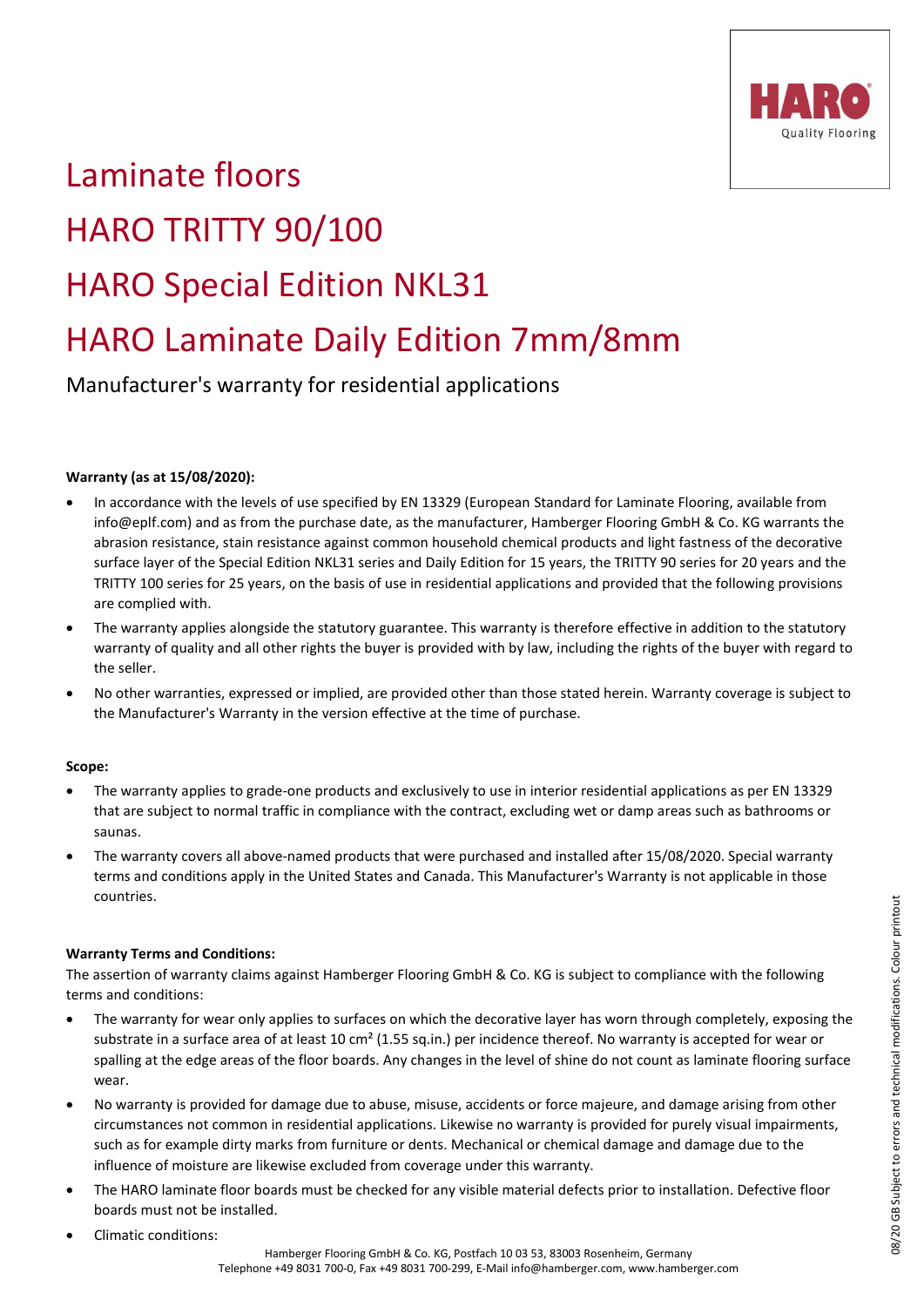

# Laminate floors HARO TRITTY 90/100 HARO Special Edition NKL31 HARO Laminate Daily Edition 7mm/8mm

Manufacturer's warranty for residential applications

## **Warranty (as at 15/08/2020):**

- In accordance with the levels of use specified by EN 13329 (European Standard for Laminate Flooring, available from info@eplf.com) and as from the purchase date, as the manufacturer, Hamberger Flooring GmbH & Co. KG warrants the abrasion resistance, stain resistance against common household chemical products and light fastness of the decorative surface layer of the Special Edition NKL31 series and Daily Edition for 15 years, the TRITTY 90 series for 20 years and the TRITTY 100 series for 25 years, on the basis of use in residential applications and provided that the following provisions are complied with.
- The warranty applies alongside the statutory guarantee. This warranty is therefore effective in addition to the statutory warranty of quality and all other rights the buyer is provided with by law, including the rights of the buyer with regard to the seller.
- No other warranties, expressed or implied, are provided other than those stated herein. Warranty coverage is subject to the Manufacturer's Warranty in the version effective at the time of purchase.

## **Scope:**

- The warranty applies to grade-one products and exclusively to use in interior residential applications as per EN 13329 that are subject to normal traffic in compliance with the contract, excluding wet or damp areas such as bathrooms or saunas.
- The warranty covers all above-named products that were purchased and installed after 15/08/2020. Special warranty terms and conditions apply in the United States and Canada. This Manufacturer's Warranty is not applicable in those countries.

## **Warranty Terms and Conditions:**

The assertion of warranty claims against Hamberger Flooring GmbH & Co. KG is subject to compliance with the following terms and conditions:

- The warranty for wear only applies to surfaces on which the decorative layer has worn through completely, exposing the substrate in a surface area of at least 10 cm<sup>2</sup> (1.55 sq.in.) per incidence thereof. No warranty is accepted for wear or spalling at the edge areas of the floor boards. Any changes in the level of shine do not count as laminate flooring surface wear.
- No warranty is provided for damage due to abuse, misuse, accidents or force majeure, and damage arising from other circumstances not common in residential applications. Likewise no warranty is provided for purely visual impairments, such as for example dirty marks from furniture or dents. Mechanical or chemical damage and damage due to the influence of moisture are likewise excluded from coverage under this warranty.
- The HARO laminate floor boards must be checked for any visible material defects prior to installation. Defective floor boards must not be installed.
- Climatic conditions: